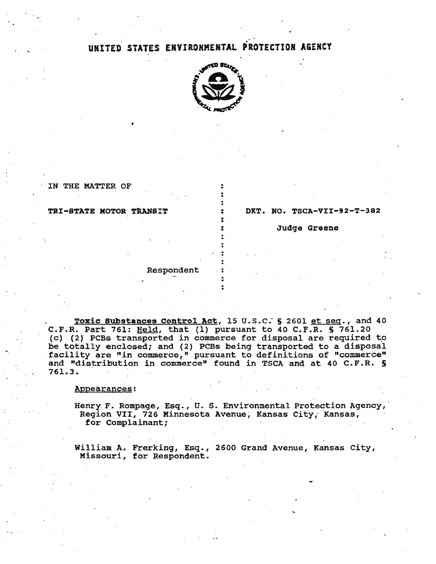# UNITED STATES ENYIRONMENTAL PROTECTION AGENCY



. . . .

. . . • .<br>.<br>. •

 $\frac{1}{2}$ . . .

IN THE MATTER OF

'

## TRI-STATE MOTOR TRANSIT

 $DKT.$  NO. TSCA-VII-92-T-382

Judge Greene

## Respondent

Toxic Substances Control Act, 15 u.s.c: S 2601 et seq., and 40 C.F.R. Part 761: Held, that (1) pursuant to 40 C.F.R. S 761.20 (c) (2) PCBs transported in commerce for disposal are required to be totally enclosed; and (2) PCBs being transported to a disposal facility are "in commerce," pursuant to definitions of "commerce" and "distribution in commerce" found in TSCA and at 40 C.F.R. S 761.3.

#### Appearances:

Henry F. Rompage, Esq., U. S. Environmental Protection Agency, Region VII, 726 Minnesota Avenue, Kansas City, Kansas, for Complainant;

William A. Frerking, Esq., 2600 Grand Avenue, Kansas City, Missouri, for Respondent.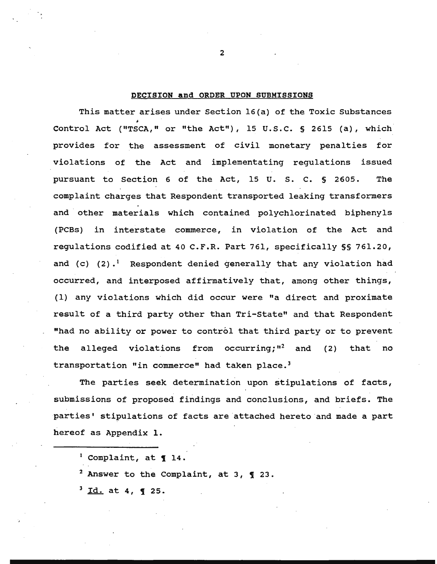# DECISION and ORDER UPON SUBMISSIONS

This matter arises under Section l6(a) of the Toxic Substances Control Act ("TSCA," or "the Act"), 15 u.s.c. § 2615 (a), which provides for the assessment of civil monetary penalties for violations of the Act and implementating regulations issued pursuant to Section 6 of the Act, 15 U. s. c. § 2605. The complaint charges that Respondent transported leaking transformers and other materials which contained polychlorinated biphenyls (PCBs) in interstate commerce, in violation of the Act and regulations codified at 40 C.F.R. Part 761, specifically§§ 761.20, and (c)  $(2)$ .<sup>1</sup> Respondent denied generally that any violation had occurred, and interposed affirmatively that, among other things, (1) any violations which did occur were "a direct and proximate result of a third party other than Tri-State" and that Respondent "had no ability or power to control that third party or to prevent the alleged violations from occurring;"<sup>2</sup> and (2) that no transportation "in commerce" had taken place.<sup>3</sup>

The parties seek determination upon stipulations of facts, submissions of proposed findings and conclusions, and briefs. The parties' stipulations of facts are attached hereto and made a part hereof as Appendix 1.

 $1$  Complaint, at  $14$ .

<sup>2</sup> Answer to the Complaint, at 3,  $\frac{q}{23}$ .

 $3$  Id. at 4, **1** 25.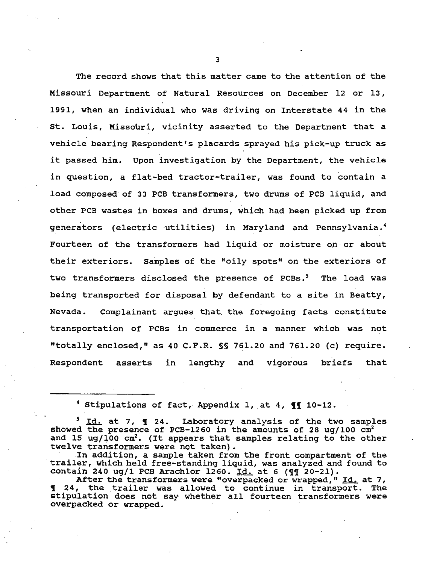The record shows that this matter came to the attention of the Missouri Department of Natural Resources on December 12 or 13, 1991, when an individual who was driving on Interstate 44 in the st. Louis, Missouri, vicinity asserted to the Department that a vehicle bearing Respondent's placards sprayed his pick-up truck as it passed him. Upon investigation by the Department, the vehicle in question, a flat-bed tractor-trailer, was found to contain a load composed of 33 PCB transformers, two drums of PCB liquid, and other PCB wastes in boxes and drums, which had been picked up from generators (electric utilities) in Maryland and Pennsylvania.<sup>4</sup> Fourteen of the transformers had liquid or moisture on or about their exteriors. Samples of the "oily spots" on the exteriors of two transformers disclosed the presence of PCBs.<sup>5</sup> The load was being transported for disposal by defendant to a site in Beatty, Nevada. Complainant argues that the foregoing facts constitute transportation of PCBs in commerce in a manner which was not "totally enclosed," as 40 C.F.R. §§ 761.20 and 761.20 (c) require. Respondent asserts in lengthy and vigorous briefs that

<sup>4</sup> Stipulations of fact, Appendix 1, at 4,  $\P$  **10-12.** 

 $\epsilon$  -  $\epsilon$ 

<sup>5</sup> Id. at 7, **1** 24. Laboratory analysis of the two samples showed the presence of PCB-1260 in the amounts of 28 ug/100  $cm<sup>2</sup>$ and 15 ug/100  $cm^2$ . (It appears that samples relating to the other twelve transformers were not taken}.

In addition, a sample taken from the front compartment of the trailer, which held free-standing liquid, was analyzed and found to contain 240 ug/1 PCB Arachlor 1260. Id. at 6 ( $q\bar{q}$  20-21).

After the transformers were "overpacked or wrapped," Id. at 7, 1 24, the trailer was allowed to continue in transport. The stipulation does not say whether all fourteen transformers were overpacked or wrapped.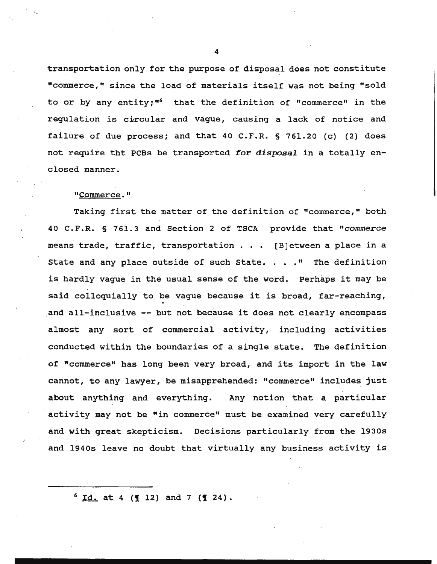transportation only for the purpose of disposal does not constitute "commerce," since the load of materials itself was not being "sold to or by any entity;<sup>"6</sup> that the definition of "commerce" in the regulation is circular and vague, causing a lack of notice and failure of due process; and that 40 C.F.R. § 761.20 (c) (2) does not require tht PCBs be transported *for disposai* in a totally enclosed manner.

# "Commerce."

Taking first the matter of the definition of "commerce," both 40 C.F.R. § 761.3 and Section 2 of TSCA provide that *"commerce*  means trade, traffic, transportation . . . [B]etween a place in a State and any place outside of such State. . . . " The definition is hardly vague in the usual sense of the word. Perhaps it may be said colloquially to be vague because it is broad, far-reaching,<br>and all-inclusive -- but not because it does not clearly encompass almost any sort of commercial activity, including activities conducted within the boundaries of a single state. The definition of "commerce" has long been very broad, and its import in the law cannot, to any lawyer, be misapprehended: "commerce" includes just about anything and everything. Any notion that a particular activity may not be "in commerce" must be examined very carefully and with great skepticism. Decisions particularly from the 1930s and 1940s leave no doubt that virtually any business activity is

 $6 \text{ Id. at } 4 \text{ (I 12) and } 7 \text{ (I 24).}$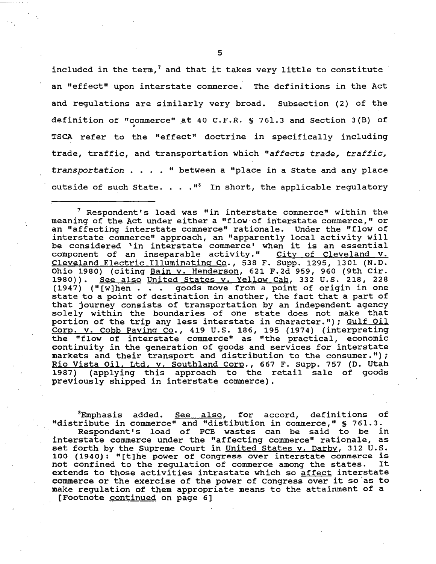included in the term,<sup>7</sup> and that it takes very little to constitute an "effect" upon interstate commerce. The definitions in the Act and regulations are similarly very broad. Subsection (2) of the definition of "commerce" at 40 C.F.R. § 761.3 and Section 3(B) of TSCA refer to the "effect" doctrine in specifically including trade, traffic, and transportation which *"affects* trade, *traffic,*  transportation . • . . " between a "place in a State and any place outside of such State. . .  $\cdot$  <sup>8</sup> In short, the applicable regulatory

 $<sup>7</sup>$  Respondent's load was "in interstate commerce" within the</sup> meaning of the Act under either a "flow·of interstate commerce," or an "affecting interstate commerce" rationale. Under the "flow of interstate commerce" approach, an "apparently local activity will be considered 'in interstate commerce' when it is an essential component of an inseparable activity." City of Cleveland v. component of an inseparable activity." City of Cleveland v. Cleveland Electric Illuminating Co., 538 F. Supp. 1295, 1301 (N.D. Ohio 1980) (citing Bain v. Henderson, 621 F.2d 959, 960 (9th Cir. 1980)). See also United States v. Yellow Cab, 332 U.S. 218, 228 (1947) ("(w]hen . goods move from a point of origin in one state to a point of destination in another, the fact that a part of that journey consists of transportation by an independent agency solely within the boundaries of one state does not make that portion of the trip any less interstate in character."); Gulf Oil Corp. v. Cobb Paving Co., 419 u.s. 186, 195 (1974) (interpreting the "flow of interstate commerce" as "the practical, economic continuity in the generation of goods and services for interstate markets and their transport and distribution to the consumer."); Rio Vista Oil. Ltd, v. Southland Corp., 667 F. Supp. 757 (D. Utah 1987) (applying this approach to the retail sale of goods previously shipped in interstate commerce).

<sup>8</sup>Emphasis added. See also, for accord, definitions of "distribute in commerce" and "distibution in commerce," § 761.3.

Respondent's load of PCB wastes can be said to be in interstate commerce under the "affecting commerce" rationale, as set forth by the Supreme Court in United States v. Darby, 312 U.S. 100 (1940): "[t]he power of Congress over interstate commerce is<br>not confined to the regulation of commerce among the states. It not confined to the regulation of commerce among the states. extends to those activities intrastate which so affect interstate commerce or the exercise of the power of Congress over it so as to make regulation of them appropriate means to the attainment of a (Footnote continued on page 6]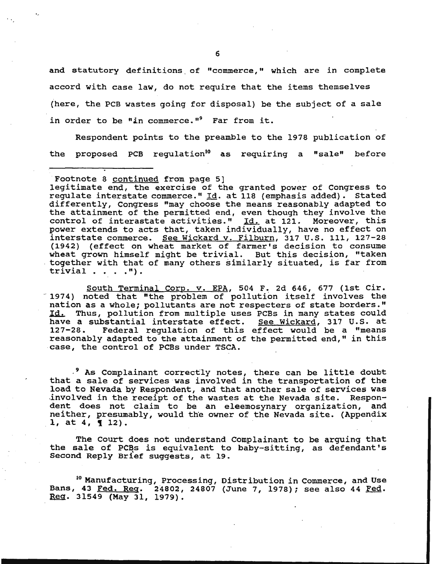and statutory definitions of "commerce," which are in complete accord with case law, do not require that the items themselves (here, the PCB wastes going for disposal} be the subject of a sale in order to be "in commerce." Far from it.

Respondent points to the preamble to the 1978 publication of the proposed PCB regulation<sup>10</sup> as requiring a "sale" before

·-

South Terminal Corp. v. EPA, 504 F. 2d 646, 677 (1st Cir. 1974) noted that "the problem of pollution itself involves the nation as a whole; pollutants are not respecters of state borders." Id. Thus, pollution from multiple uses PCBs in many states could have a substantial interstate effect. See Wickard, 317 U.S. at<br>127-28. Federal requlation of this effect would be a "means Federal regulation of this effect would be a "means reasonably adapted to the attainment of the permitted end," in this case, the control of PCBs under TSCA.

- 9 As Complainant correctly notes, there can be little doubt that a sale of services was involved in the transportation of the load to Nevada by Respondent, and that another sale of services was -involved in the receipt of the wastes at the Nevada site. Respondent does not claim to be an eleemosynary organization, and neither, presumably, would the owner of the Nevada site. (Appendix 1, at 4,  $\{$  12).

The Court does not understand Complainant to be arguing that the sale of PCBs is equivalent to baby-sitting, as defendant's Second Reply Brief suggests, at 19.

<sup>10</sup> Manufacturing, Processing, Distribution in Commerce, and Use Bans, 43 <u>Fed. Reg</u>. 24802, 24807 (June 7, 1978); see also 44 <u>Fed</u>.<br><u>Reg</u>. 31549 (May 31, 1979).

Footnote 8 continued from page 5]

legitimate end, the exercise of the granted power of Congress to regulate interstate commerce." Id. at 118 (emphasis added). Stated differently, Congress "may choose the means reasonably adapted to the attainment of the permitted end, even though they involve the control of interastate activities."  $\overline{1d}$ , at 121. Moreover, this power extends to acts that, taken individually, have no effect on interstate commerce. See Wickard v. Filburn, 317 u.s. 111, 127-28 (1942) (effect on wheat market of farmer's decision to consume wheat grown himself might be trivial. But this decision, "taken together with that of many others similarly situated, is far from trivial  $\ldots$  . ").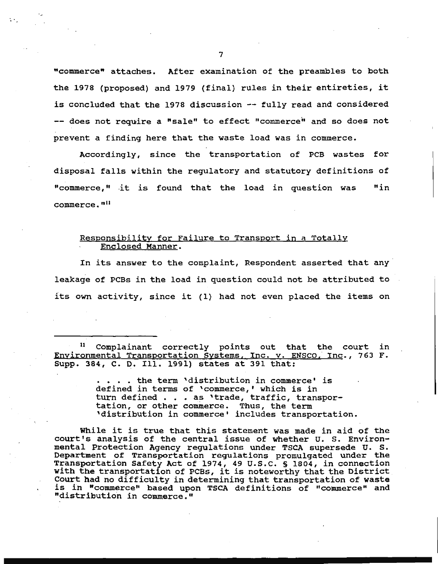"commerce" attaches. After examination of the preambles to both the 1978 (proposed) and 1979 (final) rules in their entireties, it is concluded that the 1978 discussion -- fully read and considered -- does not require a "sale" to effect "commerce" and so does not prevent a finding here that the waste load was in commerce.

Accordingly, since the transportation of PCB wastes for disposal falls within the regulatory and statutory definitions of ••commerce," .it is found that the load in question was "in commerce."<sup>11</sup>

# Responsibility for Failure to Transport in a Totally Enclosed Manner.

In its answer to the complaint, Respondent asserted that any leakage of PCBs in the load in question could not be attributed to its own activity, since it (1) had not even placed the items on

11 Complainant correctly points out that the court in Environmental Transportation Systems, Inc. v. ENSCO, Inc., 763 F. Supp. 384, c. D. Ill. 1991) states at 391 that:

> ••.. the term 'distribution in commerce• is defined in terms of 'commerce,' which is in turn defined . . . as 'trade, traffic, transportation, or other commerce. Thus, the term 'distribution in commerce• includes transportation.

While it is true that this statement was made in aid of the court's analysis of the central issue of whether U. S. Environmental Protection Agency regulations under TSCA supersede U. S. Department of Transportation regulations promulgated under the Transportation Safety Act of 1974, 49 u.s.c. § 1804, in connection with the transportation of PCBs, it is noteworthy that the District Court had no difficulty in determining that transportation of waste is in "commerce" based upon TSCA definitions of "commerce" and "distribution in commerce. <sup>11</sup>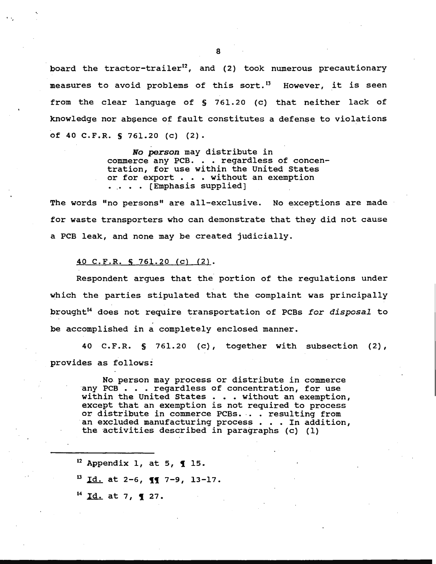board the tractor-trailer<sup>12</sup>, and (2) took numerous precautionary measures to avoid problems of this sort.<sup>13</sup> However, it is seen from the clear language of § 761.20 (c) that neither lack of knowledge nor absence of fault constitutes a defense to violations of 40 C.F.R. S 761.20 (c) (2).

> *No person* may distribute in commerce any PCB. . . regardless of concentration, for use within the United States or for export . . . without an exemption • .. • • (Emphasis supplied]

The words "no persons" are all-exclusive. No exceptions are made for waste transporters who can demonstrate that they did not cause a PCB leak, and none may be created judicially.

#### 40 C.F.R. S 761.20 (c) (2).

Respondent argues that the portion of the regulations under which the parties stipulated that the complaint was principally brought<sup>14</sup> does not require transportation of PCBs for disposal to be accomplished in a completely enclosed manner.

40 C.F.R. S 761.20 (c), together with subsection (2}, provides as follows:

No. person may process or distribute in commerce any PCB . . . regardless of concentration, for use within the United States . . . without an exemption, except that an exemption is not required to process or distribute in commerce PCBs. . . resulting from an excluded manufacturing process . . . In addition, the activities described in paragraphs  $(c)$  (1)

 $12$  Appendix 1, at 5, 1 15.

 $^{13}$  Id. at 2-6, **11** 7-9, 13-17.

 $^{14}$  Id. at 7, **1** 27.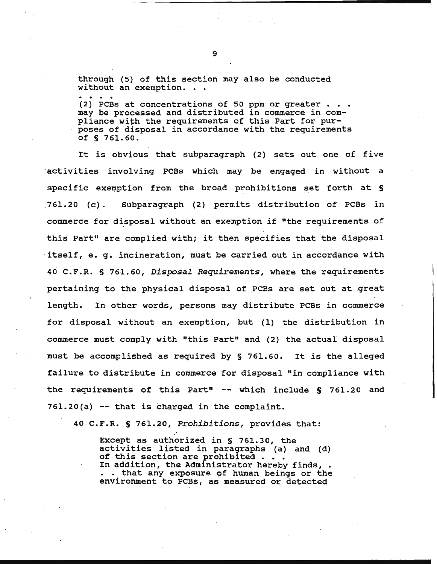through (5) of this section may also be conducted without an exemption. . .

(2) PCBs at concentrations of 50 ppm or greater . . .  $\texttt{may}$  be processed and distributed in commerce in compliance with the requirements of this Part for purposes of disposal in accordance with the requirements of S 761.60.

It is obvious that subparagraph {2) sets out one of five activities involving PCBs which may be engaged in without a specific exemption from the broad prohibitions set forth at  $S$ 761.20 (c). Subparagraph {2) permits distribution of PCBs in commerce for disposal without an exemption if "the requirements of this Part" are complied with; it then specifies that the disposal itself, e. g. incineration, must be carried out in accordance with 40 C.F.R. § 761.60, *Disposal Requirements,* where the requirements pertaining to the physical disposal of PCBs are set out at great .length. In other words, persons may distribute PCBs in commerce for disposal without an exemption, but (1) the distribution in commerce must comply with "this Part" and (2) the actual disposal must be accomplished as required by § 761.60. It is the alleged failure to distribute in commerce for disposal "in compliance with the requirements of this Part"  $--$  which include § 761.20 and 761.20(a) -- that is charged in the complaint.

40 C.F.R. S 761.20, *Prohibitions,* provides that:

Except as authorized in § 761.30, the activities listed in paragraphs (a) and (d) of this section are prohibited . . In addition, the Administrator hereby finds, • • • that any exposure of human beings or the environment to PCBs, as measured or detected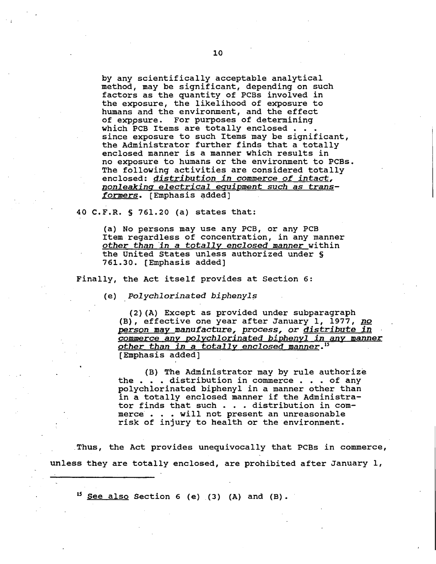by any scientifically acceptable analytical method, may be significant, depending on such factors as the quantity of PCBs involved in the exposure, the likelihood of exposure to humans and the environment, and the effect of exppsure. For purposes of determining which PCB Items are totally enclosed . . . since exposure to such Items may be significant, the Administrator further finds that a totally enclosed manner is a manner which results in no exposure to humans or the environment to PCBs. The following activities are considered totally enclosed: *distribution in* commerce *of* intact, *nonleakinq electrical* equipment *such as* trans*formers.* [Emphasis ~dded]

40 C.F.R. § 761.20 (a) states that:

(a) No persons may use any PCB, or any PCB Item regardless of concentration, in any manner other *than 'in a totally enclosed manner* within the United States unless authorized under § 761.30. [Emphasis added]

Finally, the Act itself provides at Section 6:

(e) *Polychlorinated biphenyls* 

(2) (A) Except as provided under subparagraph (B), effective one year after January 1, 1977, no *person may manufacture, process,* or *distribute in*  commerce *any polychlorinated biphenyl in any manner*  other *than in* a *totally enclosed manner.'5*  [Emphasis added]

(B) The Administrator may by rule authorize the . . . distribution in commerce . . . of any polychlorinated biphenyl in a manner other than in a totally enclosed manner if the Administrator finds that such . . . distribution in commerce . . . will not present an unreasonable risk of injury to health or the environment.

. Thus, the Act provides unequivocally that PCBs in commerce, unless they are totally enclosed, are prohibited after January 1,

 $15$  See also Section 6 (e) (3) (A) and (B).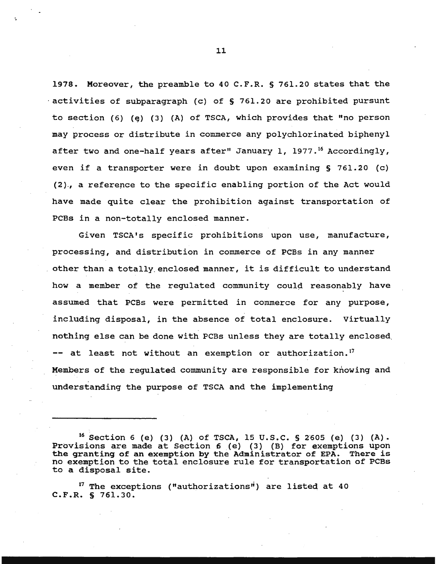1978. Moreover, the preamble to 40 C.F.R. § 761.20 states that the  $\alpha$  activities of subparagraph (c) of § 761.20 are prohibited pursunt to section (6) (e) (3) (A) of TSCA, which provides that "no person may process or distribute in commerce any polychlorinated biphenyl after two and one-half years after" January 1, 1977.<sup>16</sup> Accordingly, even if a transporter were in doubt upon examining § 761.20 (c) (2)., a reference to the specific enabling portion of the Act would have made quite clear the prohibition against transportation of PCBs in a non-totally enclosed manner.

Given TSCA's specific prohibitions upon use, manufacture, processing, and distribution in commerce of PCBs in any manner other than a totally enclosed manner, it is difficult to understand how a member of the regulated community could reasonably have assumed that PCBs were permitted in commerce for any purpose, including disposal, in the absence of total enclosure. Virtually nothing else can be done with PCBs unless they are totally enclosed. -- at least not without an exemption or authorization.<sup>17</sup> Members of the regulated community are responsible for knowing and understanding the purpose of TSCA and the implementing

 $17$  The exceptions ("authorizations") are listed at 40 C.F.R. § 761.30.

<sup>&</sup>lt;sup>16</sup> Section 6 (e) (3) (A) of TSCA, 15 U.S.C. § 2605 (e) (3) (A). Provisions are made at Section 6 (e) (3) (B) for exemptions upon the granting of an exemption by the Administrator of EPA. There is no exemption to the total enclosure rule for transportation of PCBs to a disposal site.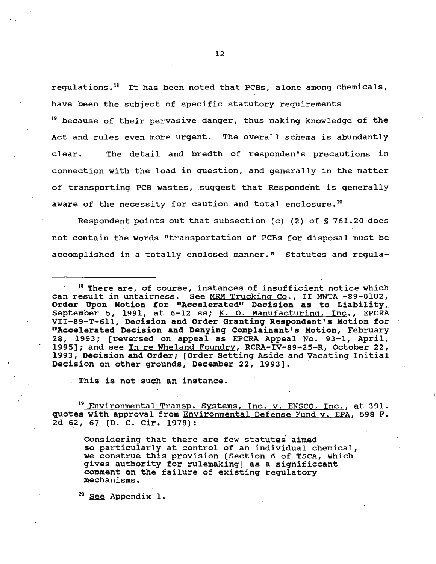regulations. 18 It has been noted that PCBs, alone among chemicals, have been the subject of specific statutory requirements

19 because of their pervasive danger, thus making knowledge of the Act and rules even more urgent. The overall *schema* is abundantly clear. The detail and bredth of responden's precautions in connection with the load in question, and generally in the matter of transporting PCB wastes, suggest that Respondent is generally aware of the necessity for caution and total enclosure.<sup>20</sup>

Respondent points out that subsection (c) (2) of § 761.20 does not contain the words "transportation of PCBs for disposal must be accomplished in a totally enclosed manner." Statutes and regula-

<sup>18</sup> There are, of course, instances of insufficient notice which can result in unfairness. See MRM Trucking Co., II MWTA -89-0102, oun resure in unidialized to the magnetic mediate of the main to state, September 5, 1991, at 6-12 ss; <u>K. O. Manufacturing, Inc.,</u> EPCRA VII-89-T-611, Decision and Order Granting Respondent's Motion for "Accelerated Decision and Denying Complainant's Motion, February 28, 1993; [reversed on appeal as EPCRA Appeal No. 93-1, April, 1995]; and see In re Wheland Foundry, RCRA-IV-89-25-R, October 22, 1993, Decision and order; [Order Setting Aside and Vacating Initial Decision on other grounds, December 22, 1993].

This is not such an instance.

<sup>19</sup> Environmental Transp. Systems, Inc. v. ENSCO, Inc., at 391. quotes with approval from Environmental Defense Fund v. EPA, 598 F. 2d 62, 67 (D. C. Cir. 1978):

Considering that there are few statutes aimed so particularly at control of an individual chemical, we construe this provision [Section 6 of TSCA, which gives authority for rulemaking] as a significcant comment on the failure of existing regulatory mechanisms.

<sup>20</sup> See Appendix 1.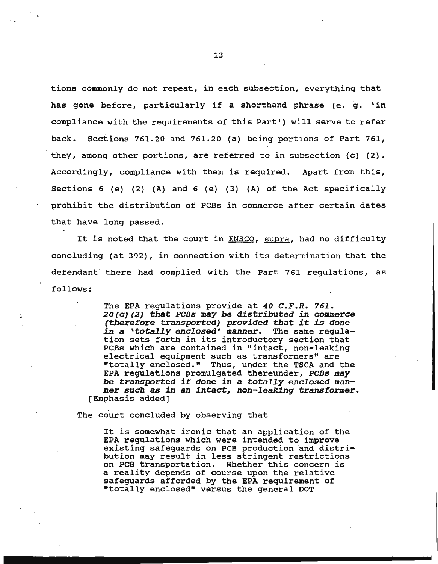tions commonly do not repeat, in each subsection, everything that has gone before, particularly if a shorthand phrase (e. g. 'in compliance with the requirements of this Part') will serve to refer back. Sections 761.20 and 761.20 (a) being portions of Part 761, they, among other portions, are referred to in subsection (c) (2). Accordingly, compliance with them is required. Apart from this, Sections 6 (e} (2} (A} and 6 (e) (3) (A) of the Act specifically prohibit the distribution of PCBs in commerce after certain dates that have long passed.

It is noted that the court in ENSCO, supra, had no difficulty concluding (at 392), in connection with its determination that the defendant there had complied with the Part 761 regulations, as follows:

> The EPA regulations provide at *40 C.F.R. 761. 20(c)(2)* that *PCBs* may *be distributed in* commerce *(therefore transported) provided* that *it is* done *in* a *'totally enclosed'* manner. The same regulation sets forth in its introductory section that PCBs which are contained in "intact, non-leaking electrical equipment such as transformers" are "totally enclosed." Thus, under the TSCA and the EPA regulations promulgated thereunder, *PCBs* may *be* transported *if* done *in* a *totally enclosed* manner *such as in* an *intact, non-leaking transformer.*  [Emphasis added]

The court concluded by observing that

It is somewhat ironic that an application of the EPA regulations which were intended to improve existing safeguards on PCB production and distribution may result in less stringent restrictions on PCB transportation. Whether this concern is a reality depends of course upon the relative safeguards afforded by the EPA requirement of "totally enclosed" versus the general DOT

............................ \_\_\_\_\_\_\_\_\_\_\_\_\_\_\_\_\_\_ \_\_\_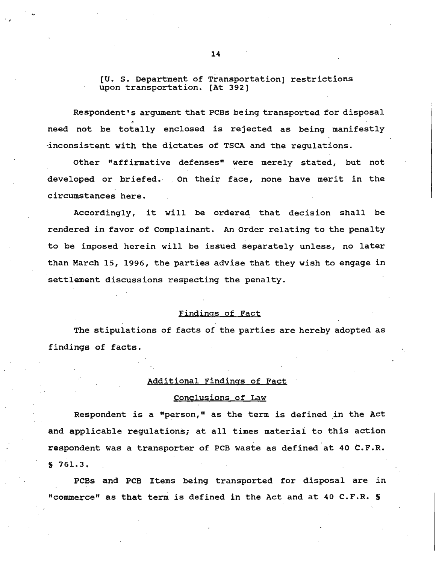[U. s. Department of Transportation] restrictions upon transportation. [At 392]

Respondent's argument that PCBs being transported for disposal need not be totally enclosed is rejected as being manifestly ·inconsistent with the dictates of TSCA and the regulations.

Other "affirmative defenses" were merely stated, but not developed or briefed. On their face, none have merit in the circumstances here.

Accordingly, it will be ordered that decision shall be rendered in favor of Complainant. An Order relating to the penalty to be imposed herein will be issued separately unless, no later than March 15, 1996, the parties advise that they wish to engage in settlement discussions respecting the penalty.

## Findings of Fact

The stipulations of facts of the parties are hereby adopted as findings of facts.

# Additional Findings of Fact

## Conclusions of Law

Respondent is a "person," as the term is defined in the Act and applicable regulations; at all times materiai to this action respondent was a transporter of PCB waste as defined at 40 C.F.R. s 761.3.

PCBs and PCB Items being transported for disposal are in "commerce" as that terni is defined in the Act and at 40 C.F.R. S

,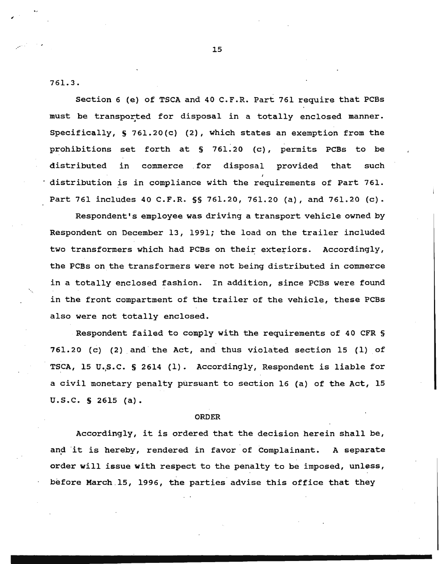761.3.

Section 6 (e) of TSCA and 40 C.F.R. Part 761 require that PCBs must be transported for disposal in a totally enclosed manner. Specifically, S 761.20(c) (2), which states an exemption from the prohibitions set forth at S 761.20 {c), permits PCBs to be distributed in commerce . for disposal provided that such distribution is in compliance with the requirements of Part 761. Part 761 includes 40 C.F.R. §§ 761.20, 761.20 (a), and 761.20 (c).

Respondent's employee was driving a transport vehicle owned by Respondent on December 13, 1991; the load on the trailer included two transformers which had PCBs on their exteriors. Accordingly, the PCBs on the transformers were not being distributed in commerce in a totally enclosed fashion. In addition, since PCBs were found in the front compartment of the trailer of the vehicle, these PCBs also were not totally enclosed.

Respondent failed to comply with the requirements of 40 CFR §  $761.20$  (c) (2) and the Act, and thus violated section 15 (1) of TSCA, 15 U.S.C. § 2614 (1). Accordingly, Respondent is liable for a civil monetary penalty pursuant to section 16 (a) of the Act, 15 u.s.c. S 2615 (a).

#### ORDER

Accordingly, it is ordered that the decision herein shall be, and it is hereby, rendered in favor of Complainant. A separate order will issue with respect to the penalty to be imposed, unless, before March .l5, 1996, the parties advise this office that they

 $\mathbb{Z}^{\mathbb{Z}^{\times}}$  , ...  $\mathbb{Z}^{\mathbb{Z}^{\times}}$  , ...  $\mathbb{Z}^{\mathbb{Z}^{\times}}$  , ...  $\mathbb{Z}^{\mathbb{Z}^{\times}}$  , ...  $\mathbb{Z}^{\mathbb{Z}^{\times}}$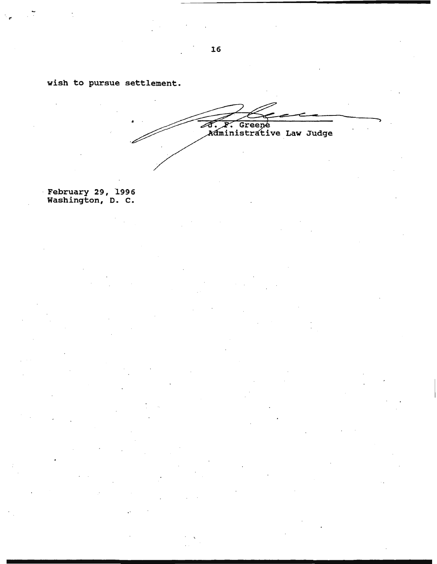wish to pursue settlement.

. .,

A. F. Greene<br>Administrative Law Judge

· February 29, 1996 Washington, D. c.